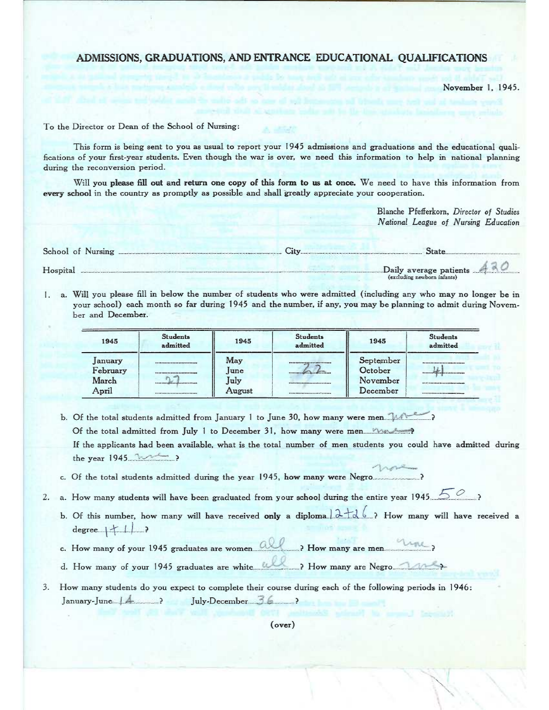# ADMISSIONS, GRADUATIONS, AND ENTRANCE EDUCATIONAL QUALIFICATIONS

November 1, 1945.

To the Director ox Dean of the School of Nursing:

This form is being sent to you as usual to report your 1945 admissions and graduations and bhe educational qualifications of your first-year students. Even though the war is over, we need this information to help in national planning during the reconversion period.

Will you please fill out and return one copy of this form to us at once. We need to have this information from every school in the country as promptly as possible and shall greatly appreciate your cooperation.

> Blanche Pfefferkorn, Director of Studies National League of Nursing Education

| School of Nursing <u>Elity City</u>                              |  |
|------------------------------------------------------------------|--|
| $\sum_{\substack{\text{excluding~exptons}}}\text{C}$<br>Hospital |  |

1. a. Will you please fill in below the number of students who weze admitted (including any who may no longer be in your school) each month so far during 1945 and the number, if any, you may be planning to admit during November and December.

| 1945     | <b>Students</b><br>admitted   | 1945   | <b>Students</b><br>admitted                 | 1945      | <b>Students</b><br>admitted        |
|----------|-------------------------------|--------|---------------------------------------------|-----------|------------------------------------|
| January  | ****************************  | May    | <b><i>Shooppoorpoorpoorpoorpoorpool</i></b> | September | <b>Pessensementersensementerna</b> |
| February | ---------------------------   | lune   |                                             | October   | ****************************       |
| March    | ----------------------------- | July   |                                             | November  |                                    |
| April    | ****************************  | August | ***************************                 | December  |                                    |

b. Of the total students admitted from January 1 to June 30, how many were men.  $\blacksquare$ Of the total admitted from July 1 to December 31, how many were men..\_...:'~x:.: \_'°~ IE the applicants had been available, what is the total number of men students you could have admitted during the year 1945....:: \_f:::'`.-°:..\_?  $n_{\ell+1}$ 

- c. Q\$ the total students admitted during the year 1945, how many were Negro ..............................?
- 2. a. How many students will have been graduated from your school during the entire year 1945.  $\sim$ 
	- b. Of this number, how many will have received only a diploma  $2-d6$  ? How many will have received a  $degree + + 1$  >
	- c. How many of your 1.945 graduates are women.....'.:'.:~ ".:~':'......\_\_\_\_.\_? How many are men...\_.\_ ............:..::.:...?
	- 3. How many of your 1945 graduates are white .......::...::..::...........? How many are Negro....:::........:.....:..\_:'..:~?-

3. How many students do you ezpect to complete their course during each of the following periods in• 1946: \_.: .. January-June:...\_~-..x- ................? .Tu1Y-December....--~-~-- ~:..---- -------'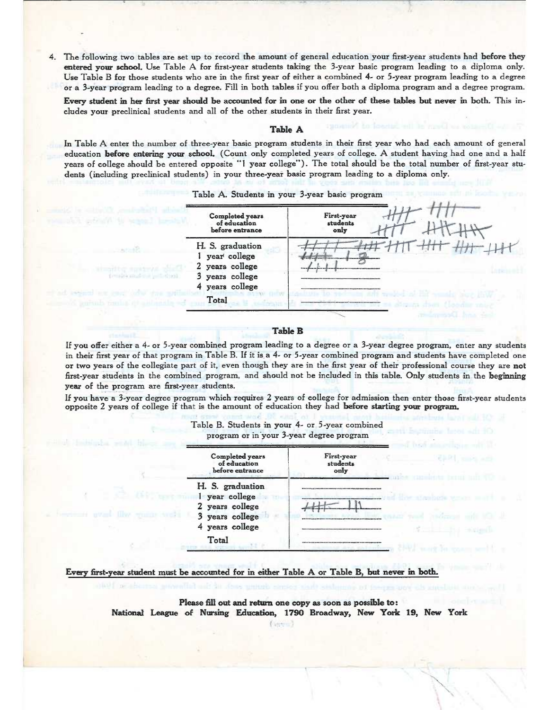4. The following two tables are set up to record the amount of general education your first-year students had before they entered yowr school. Use Table A for first-year students taking the 3-year basic program leading to a diploma only. Use Table B for those students who are in the first year of either a combined 4- or 5-yeaz program leading to a degree or a 3-year program leading to a degree. Fill in both tables if you offer bath a diploma program and a degree program.

Every student in her first year should be accounted for in one or the other of these tables but never in both. This includes your preclinical students and all of the other students in their first year.

### Table A

In Table A enter the number of three-year basic program students in their first year who had each amount of general education before entering your school. (Count only completed years of college. A student having had one and a half years of college should be entered opposite "1 year college"). The total should be the total number of first-yeas students (including preclinical students) in your three-year basic program leading to a diploma only.

Table A. Students in your 3-yeaz basic program



#### Table B

If you offer either a 4- or 5-year combined program leading to a degree or a 3-year degree program, enter any students in their first year of that program in Table B. If it is a 4- or 5-year combined program and students have completed one or two years of the collegiate part of it, even though they are in the first year of their professional course they are not first-year students in the combined program, and should not be included in this table. Only students in the beginning yeaz of the program are first-year students.

If you have a 3-year degree program which requires 2 years of college for admission then enter those first-year students opposite 2 years of college if that is the amount of education they had before starting your program.



# Table B. Students in your 4- ar 5-year combined

### Every first-year student must be accounted for in either Table A or Table B, but never in both.

Please fill out and return one copy as soon as possible to: National League of Nursing Education, 1790 Broadway, New York 19, New York

(Samo)